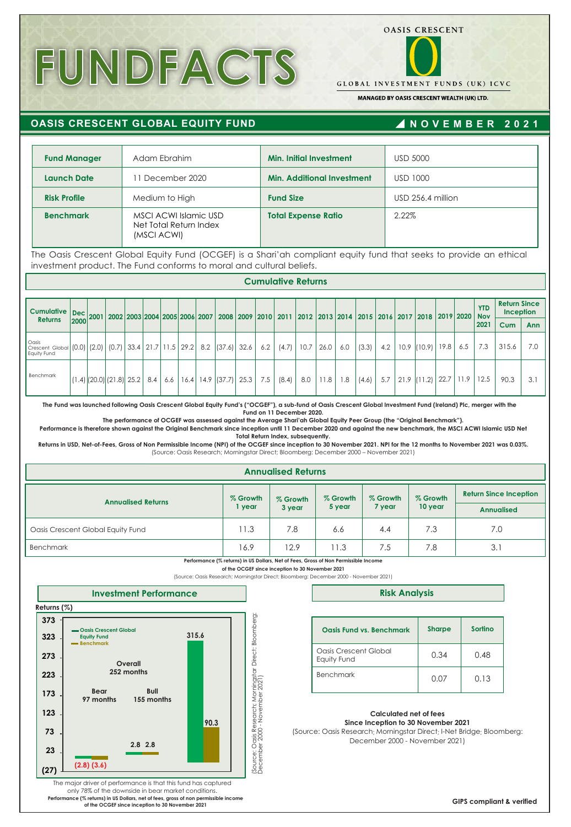# **FUNDFACTS**



**GLOBAL INVESTMENT FUNDS (UK) ICVC** 

MANAGED BY OASIS CRESCENT WEALTH (UK) LTD.

# **OASIS CRESCENT GLOBAL EQUITY FUND**

## **N OVE M B E R 202 1**

| <b>Fund Manager</b>                                                                                                                                                                        |      |                                  |     | Adam Ebrahim     |                                                 |                                                         |     | <b>Min. Initial Investment</b>    |      |       |     |       |     | <b>USD 5000</b> |                                                                                                     |      |               |                          |                                  |            |
|--------------------------------------------------------------------------------------------------------------------------------------------------------------------------------------------|------|----------------------------------|-----|------------------|-------------------------------------------------|---------------------------------------------------------|-----|-----------------------------------|------|-------|-----|-------|-----|-----------------|-----------------------------------------------------------------------------------------------------|------|---------------|--------------------------|----------------------------------|------------|
| <b>Launch Date</b>                                                                                                                                                                         |      |                                  |     | 11 December 2020 |                                                 |                                                         |     | <b>Min. Additional Investment</b> |      |       |     |       |     | <b>USD 1000</b> |                                                                                                     |      |               |                          |                                  |            |
| <b>Risk Profile</b>                                                                                                                                                                        |      |                                  |     | Medium to High   |                                                 |                                                         |     | <b>Fund Size</b>                  |      |       |     |       |     |                 | USD 256.4 million                                                                                   |      |               |                          |                                  |            |
| <b>Benchmark</b>                                                                                                                                                                           |      |                                  |     | (MSCI ACWI)      | MSCI ACWI Islamic USD<br>Net Total Return Index |                                                         |     | <b>Total Expense Ratio</b>        |      |       |     |       |     | 2.22%           |                                                                                                     |      |               |                          |                                  |            |
| The Oasis Crescent Global Equity Fund (OCGEF) is a Shari'ah compliant equity fund that seeks to provide an ethical<br>investment product. The Fund conforms to moral and cultural beliefs. |      |                                  |     |                  |                                                 |                                                         |     |                                   |      |       |     |       |     |                 |                                                                                                     |      |               |                          |                                  |            |
|                                                                                                                                                                                            |      |                                  |     |                  |                                                 |                                                         |     | <b>Cumulative Returns</b>         |      |       |     |       |     |                 |                                                                                                     |      |               |                          |                                  |            |
| <b>Cumulative</b>                                                                                                                                                                          | Dec  |                                  |     |                  |                                                 |                                                         |     |                                   |      |       |     |       |     |                 | 2001 2002 2003 2004 2005 2006 2007 2008 2009 2010 2011 2012 2013 2014 2015 2016 2017 2018 2019 2020 |      |               | <b>YTD</b><br><b>Nov</b> | <b>Return Since</b><br>Inception |            |
| <b>Returns</b>                                                                                                                                                                             | 2000 |                                  |     |                  |                                                 |                                                         |     |                                   |      |       |     |       |     |                 |                                                                                                     |      |               | 2021                     | <b>Cum</b>                       | <b>Ann</b> |
| Oasis<br>Crescent Global<br>Equity Fund                                                                                                                                                    |      |                                  |     |                  |                                                 | $(0.0)$ (2.0) (0.7) 33.4 21.7 11.5 29.2 8.2 (37.6) 32.6 | 6.2 | (4.7)                             | 10.7 | 126.0 | 6.0 | (3.3) | 4.2 |                 | $10.9$ (10.9)                                                                                       | 19.8 | 6.5           | 7.3                      | 315.6                            | 7.0        |
| Benchmark                                                                                                                                                                                  |      | $(1.4)$ $(20.0)$ $(21.8)$ $25.2$ | 8.4 | 6.6              |                                                 | $16.4$   14.9 $ (37.7)$   25.3                          | 7.5 | (8.4)                             | 8.0  | 11.8  | 1.8 | (4.6) | 5.7 |                 | $21.9$ (11.2)                                                                                       |      | $22.7$   11.9 | 12.5                     | 90.3                             | 3.1        |

**The Fund was launched following Oasis Crescent Global Equity Fund's ("OCGEF"), a sub-fund of Oasis Crescent Global Investment Fund (Ireland) Plc, merger with the Fund on 11 December 2020.** 

**The performance of OCGEF was assessed against the Average Shari'ah Global Equity Peer Group (the "Original Benchmark").** 

**Performance is therefore shown against the Original Benchmark since inception until 11 December 2020 and against the new benchmark, the MSCI ACWI Islamic USD Net Total Return Index, subsequently.**

**Returns in USD, Net-of-Fees, Gross of Non Permissible Income (NPI) of the OCGEF since inception to 30 November 2021. NPI for the 12 months to November 2021 was 0.03%.** (Source: Oasis Research; Morningstar Direct; Bloomberg: December 2000 – November 2021)

|  | <b>Annualised Returns</b> |
|--|---------------------------|
|  |                           |

| <b>Annualised Returns</b>         | % Growth<br>year | % Growth<br>3 year | % Growth<br>5 year | % Growth<br>7 year | % Growth<br>10 year | <b>Return Since Inception</b><br><b>Annualised</b> |
|-----------------------------------|------------------|--------------------|--------------------|--------------------|---------------------|----------------------------------------------------|
| Oasis Crescent Global Equity Fund | 11.3             | 7.8                | 6.6                | 4.4                | 7.3                 | 7.0                                                |
| <b>Benchmark</b>                  | 16.9             | 12.9               | $\overline{1.3}$   | 7.5                | 7.8                 | 3.1                                                |

**Performance (% returns) in US Dollars, Net of Fees, Gross of Non Permissible Income of the OCGEF since inception to 30 November 2021**

(Source: Oasis Research; Morningstar Direct; Bloomberg: December 2000 - November 2021)



**Risk Analysis**

| Oasis Fund vs. Benchmark             | <b>Sharpe</b> | Sortino |
|--------------------------------------|---------------|---------|
| Oasis Crescent Global<br>Equity Fund | 0.34          | 0.48    |
| <b>Benchmark</b>                     | 0.07          | 0.13    |

#### **Calculated net of fees Since Inception to 30 November 2021**

(Source: Oasis Research; Morningstar Direct; I-Net Bridge; Bloomberg: December 2000 - November 2021)

The major driver of performance is that this fund has captured only 78% of the downside in bear market conditions. **Performance (% returns) in US Dollars, net of fees, gross of non permissible income of the OCGEF since inception to 30 November 2021**

**GIPS compliant & verified**